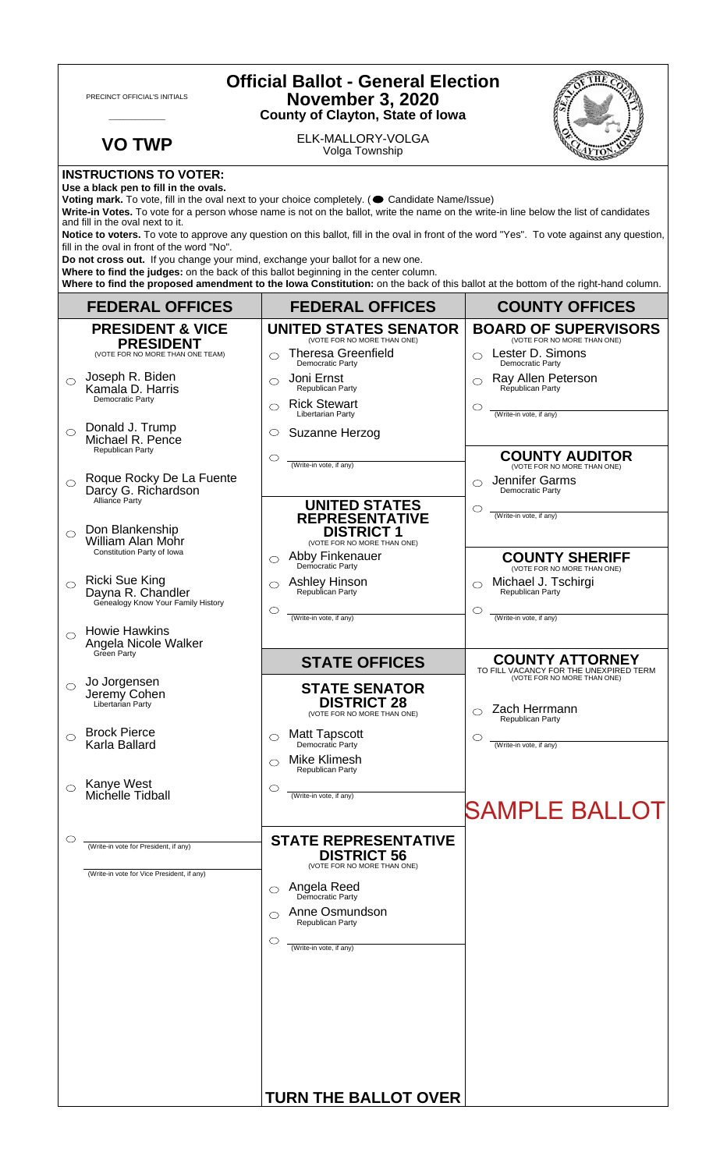| <b>Official Ballot - General Election</b><br><b>November 3, 2020</b><br>PRECINCT OFFICIAL'S INITIALS<br><b>County of Clayton, State of Iowa</b>                                                                                                                                                                                                                                                                                                                                                                                                                                                                                                                                                                                 |                                                                                     |                                                                                                                                   |                                                                                                    |  |
|---------------------------------------------------------------------------------------------------------------------------------------------------------------------------------------------------------------------------------------------------------------------------------------------------------------------------------------------------------------------------------------------------------------------------------------------------------------------------------------------------------------------------------------------------------------------------------------------------------------------------------------------------------------------------------------------------------------------------------|-------------------------------------------------------------------------------------|-----------------------------------------------------------------------------------------------------------------------------------|----------------------------------------------------------------------------------------------------|--|
|                                                                                                                                                                                                                                                                                                                                                                                                                                                                                                                                                                                                                                                                                                                                 | <b>VO TWP</b>                                                                       | ELK-MALLORY-VOLGA<br>Volga Township                                                                                               |                                                                                                    |  |
| <b>INSTRUCTIONS TO VOTER:</b><br>Use a black pen to fill in the ovals.<br>Voting mark. To vote, fill in the oval next to your choice completely. ( Candidate Name/Issue)<br>Write-in Votes. To vote for a person whose name is not on the ballot, write the name on the write-in line below the list of candidates<br>and fill in the oval next to it.<br>Notice to voters. To vote to approve any question on this ballot, fill in the oval in front of the word "Yes". To vote against any question,<br>fill in the oval in front of the word "No".<br>Do not cross out. If you change your mind, exchange your ballot for a new one.<br>Where to find the judges: on the back of this ballot beginning in the center column. |                                                                                     |                                                                                                                                   |                                                                                                    |  |
|                                                                                                                                                                                                                                                                                                                                                                                                                                                                                                                                                                                                                                                                                                                                 |                                                                                     | Where to find the proposed amendment to the lowa Constitution: on the back of this ballot at the bottom of the right-hand column. |                                                                                                    |  |
|                                                                                                                                                                                                                                                                                                                                                                                                                                                                                                                                                                                                                                                                                                                                 | <b>FEDERAL OFFICES</b>                                                              | <b>FEDERAL OFFICES</b>                                                                                                            | <b>COUNTY OFFICES</b>                                                                              |  |
|                                                                                                                                                                                                                                                                                                                                                                                                                                                                                                                                                                                                                                                                                                                                 | <b>PRESIDENT &amp; VICE</b><br><b>PRESIDENT</b><br>(VOTE FOR NO MORE THAN ONE TEAM) | <b>UNITED STATES SENATOR</b><br>(VOTE FOR NO MORE THAN ONE)<br><b>Theresa Greenfield</b><br>⌒<br>Democratic Party                 | <b>BOARD OF SUPERVISORS</b><br>(VOTE FOR NO MORE THAN ONE)<br>Lester D. Simons<br>Democratic Party |  |
| O                                                                                                                                                                                                                                                                                                                                                                                                                                                                                                                                                                                                                                                                                                                               | Joseph R. Biden<br>Kamala D. Harris<br>Democratic Party                             | Joni Ernst<br>◯<br>Republican Party<br><b>Rick Stewart</b><br>⌒<br>Libertarian Party                                              | Ray Allen Peterson<br>Republican Party<br>$\circlearrowright$<br>(Write-in vote, if any)           |  |
| $\bigcirc$                                                                                                                                                                                                                                                                                                                                                                                                                                                                                                                                                                                                                                                                                                                      | Donald J. Trump<br>Michael R. Pence<br>Republican Party                             | Suzanne Herzog<br>O<br>◯                                                                                                          | <b>COUNTY AUDITOR</b>                                                                              |  |
| $\bigcirc$                                                                                                                                                                                                                                                                                                                                                                                                                                                                                                                                                                                                                                                                                                                      | Roque Rocky De La Fuente<br>Darcy G. Richardson<br>Alliance Party                   | (Write-in vote, if any)<br><b>UNITED STATES</b>                                                                                   | (VOTE FOR NO MORE THAN ONE)<br>Jennifer Garms<br>◯<br>Democratic Party<br>O                        |  |
| $\bigcirc$                                                                                                                                                                                                                                                                                                                                                                                                                                                                                                                                                                                                                                                                                                                      | Don Blankenship<br>William Alan Mohr<br>Constitution Party of Iowa                  | <b>REPRESENTATIVE</b><br><b>DISTRICT 1</b><br>(VOTE FOR NO MORE THAN ONE)<br>Abby Finkenauer<br>⌒                                 | (Write-in vote, if any)<br><b>COUNTY SHERIFF</b>                                                   |  |
|                                                                                                                                                                                                                                                                                                                                                                                                                                                                                                                                                                                                                                                                                                                                 | <b>Ricki Sue King</b><br>Dayna R. Chandler<br>Genealogy Know Your Family History    | Democratic Party<br><b>Ashley Hinson</b><br>Republican Party<br>$\circlearrowright$                                               | (VOTE FOR NO MORE THAN ONE)<br>Michael J. Tschirgi<br>Republican Party<br>$\circlearrowright$      |  |
| $\bigcirc$                                                                                                                                                                                                                                                                                                                                                                                                                                                                                                                                                                                                                                                                                                                      | <b>Howie Hawkins</b><br>Angela Nicole Walker<br>Green Party                         | (Write-in vote, if any)                                                                                                           | (Write-in vote, if any)<br><b>COUNTY ATTORNEY</b>                                                  |  |
| $\circ$                                                                                                                                                                                                                                                                                                                                                                                                                                                                                                                                                                                                                                                                                                                         | Jo Jorgensen<br>Jeremy Cohen<br>Libertarian Party                                   | <b>STATE OFFICES</b><br><b>STATE SENATOR</b><br><b>DISTRICT 28</b><br>(VOTE FOR NO MORE THAN ONE)                                 | TO FILL VACANCY FOR THE UNEXPIRED TERM<br>(VOTE FOR NO MORE THAN ONE)<br>Zach Herrmann             |  |
|                                                                                                                                                                                                                                                                                                                                                                                                                                                                                                                                                                                                                                                                                                                                 | <b>Brock Pierce</b><br>Karla Ballard                                                | <b>Matt Tapscott</b><br>O<br>Democratic Party<br>Mike Klimesh<br>⌒                                                                | Republican Party<br>C<br>(Write-in vote, if any)                                                   |  |
|                                                                                                                                                                                                                                                                                                                                                                                                                                                                                                                                                                                                                                                                                                                                 | Kanye West<br>Michelle Tidball                                                      | <b>Republican Party</b><br>O<br>(Write-in vote, if any)                                                                           | <b>SAMPLE BALLOT</b>                                                                               |  |
| O                                                                                                                                                                                                                                                                                                                                                                                                                                                                                                                                                                                                                                                                                                                               | (Write-in vote for President, if any)<br>(Write-in vote for Vice President, if any) | <b>STATE REPRESENTATIVE</b><br><b>DISTRICT 56</b><br>(VOTE FOR NO MORE THAN ONE)                                                  |                                                                                                    |  |
|                                                                                                                                                                                                                                                                                                                                                                                                                                                                                                                                                                                                                                                                                                                                 |                                                                                     | <b>Angela Reed</b><br>Democratic Party<br>⌒<br>Anne Osmundson                                                                     |                                                                                                    |  |
|                                                                                                                                                                                                                                                                                                                                                                                                                                                                                                                                                                                                                                                                                                                                 |                                                                                     | Republican Party<br>O<br>(Write-in vote, if any)                                                                                  |                                                                                                    |  |
|                                                                                                                                                                                                                                                                                                                                                                                                                                                                                                                                                                                                                                                                                                                                 |                                                                                     | <b>TURN THE BALLOT OVER</b>                                                                                                       |                                                                                                    |  |